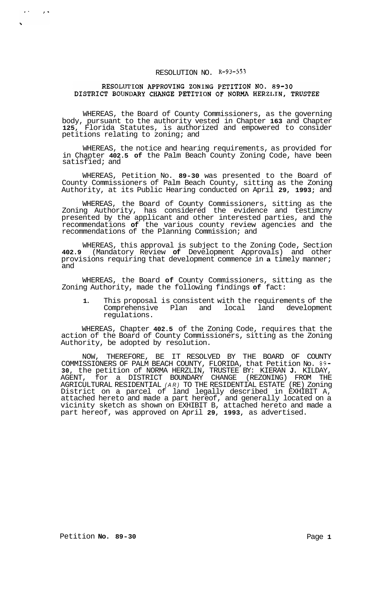# RESOLUTION NO. **R-93-553**

### RESOLUTION APPROVING ZONING PETITION NO. 89-30 DISTRICT BOUNDARY CHANGE PETITION OF NORMA HERZLIN, TRUSTEE

WHEREAS, the Board of County Commissioners, as the governing body, pursuant to the authority vested in Chapter **163** and Chapter **125,** Florida Statutes, is authorized and empowered to consider petitions relating to zoning; and

WHEREAS, the notice and hearing requirements, as provided for in Chapter **402.5 of** the Palm Beach County Zoning Code, have been satisfied; and

WHEREAS, Petition No. **89-30** was presented to the Board of County Commissioners of Palm Beach County, sitting as the Zoning Authority, at its Public Hearing conducted on April **29, 1993;** and

WHEREAS, the Board of County Commissioners, sitting as the Zoning Authority, has considered the evidence and testimcny presented by the applicant and other interested parties, and the recommendations **of** the various county review agencies and the recommendations of the Planning Commission; and

WHEREAS, this approval is subject to the Zoning Code, Section **402.9** (Mandatory Review **of** Development Approvals) and other provisions requiring that development commence in **a** timely manner; and

WHEREAS, the Board **of** County Commissioners, sitting as the Zoning Authority, made the following findings **of** fact:

**1.** This proposal is consistent with the requirements of the Comprehensive Plan and local land development regulations.

WHEREAS, Chapter **402.5** of the Zoning Code, requires that the action of the Board of County Commissioners, sitting as the Zoning Authority, be adopted by resolution.

NOW, THEREFORE, BE IT RESOLVED BY THE BOARD OF COUNTY COMMISSIONERS OF PALM BEACH COUNTY, FLORIDA, that Petition No. **89- 30,** the petition of NORMA HERZLIN, TRUSTEE BY: KIERAN **J.** KILDAY, AGENT, for a DISTRICT BOUNDARY CHANGE (REZONING) FROM THE AGRICULTURAL RESIDENTIAL *(AR)* TO THE RESIDENTIAL ESTATE (RE) Zoning District on a parcel of land legally described in EXHIBIT A, attached hereto and made a part hereof, and generally located on a vicinity sketch as shown on EXHIBIT B, attached hereto and made a part hereof, was approved on April **29, 1993,** as advertised.

 $\epsilon$  .

 $\lambda$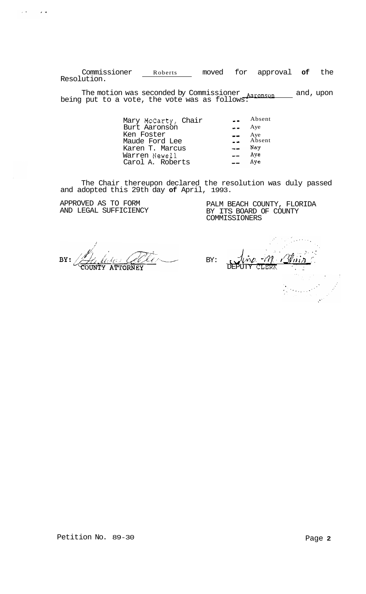Commissioner Roberts moved for approval **of** the Resolution.

The motion was seconded by Commissioner <u>Aaronson sand</u> and, upon being put to a vote, the vote was as follows:

> Mary McCarty, Chair **..** Absent Burt Aaronson \_\_ Aye Ken Foster \_\_ Aye Maude Ford Lee \_\_ Absent **?.lT^..** Karen T. Marcus Warren Newel1 Aye Carol A. Roberts

The Chair thereupon declared the resolution was duly passed and adopted this 29th day **of** April, 1993.

APPROVED AS TO FORM AND LEGAL SUFFICIENCY

 $\alpha$  -th  $\alpha$  -th  $\alpha$ 

PALM BEACH COUNTY, FLORIDA BY ITS BOARD OF COUNTY COMMISSIONERS

BY: **ATTORNEY** 

 $-m$ BY: DEPUTY CLERK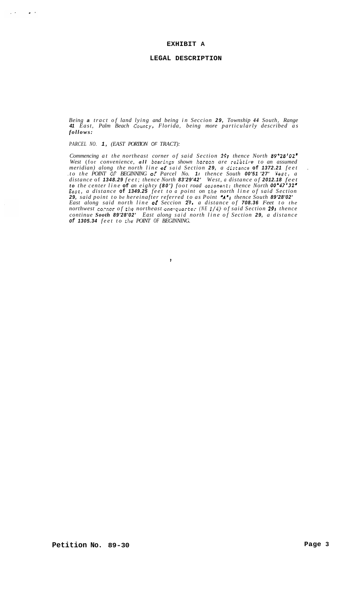#### **EXHIBIT A**

#### **LEGAL DESCRIPTION**

*Being a tract of land lying and being in Seccion 29, Township 44 South, Range 41 East, Palm Beach Councy, Florida, being more particularly described as follows:* 

*PARCEL NO. 1, (EAST PORTION OF TRACT):* 

 $\Delta\mathcal{A}=\mathcal{A}^{\dagger}$  , where  $\mathcal{A}$ 

*Commencing at the northeast corner of said Section 291 thence North 89'28'02' West* (for *convenience, all bearings shown hereon are relitive to an assumed meridian) along the north line OE said Section 29, a distance* **of** *1372.21 feet* . . *to the POINT* **OC:** *BEGINNING OE Parcel No. 1 I thence South 00'51 '27' West, a distance* of *1348.29 feet; thence North 83'29'42' West, a distance of 2012.18 feet to the center line* **of** *an eighty (80') foot road easementi thence North 00'47'32' East, a distance* **of** *1349.25 feet to a point on the north line of said Section*  29, said point to be hereinafter referred to as Point **"A";** thence South 89'28'02'<br>East along said north line **of** Seccion 29, a distance of **708.36** Feet to the *northwest co'ner of the northeast one-quorte; (NE 1/4) of said Section 291 thence continue Sooth 89'28'02' East along said north line of Section 29, a distance of 1305.34 feet to the POINT OF BEGINNING.* 

 $\ddot{\phantom{1}}$